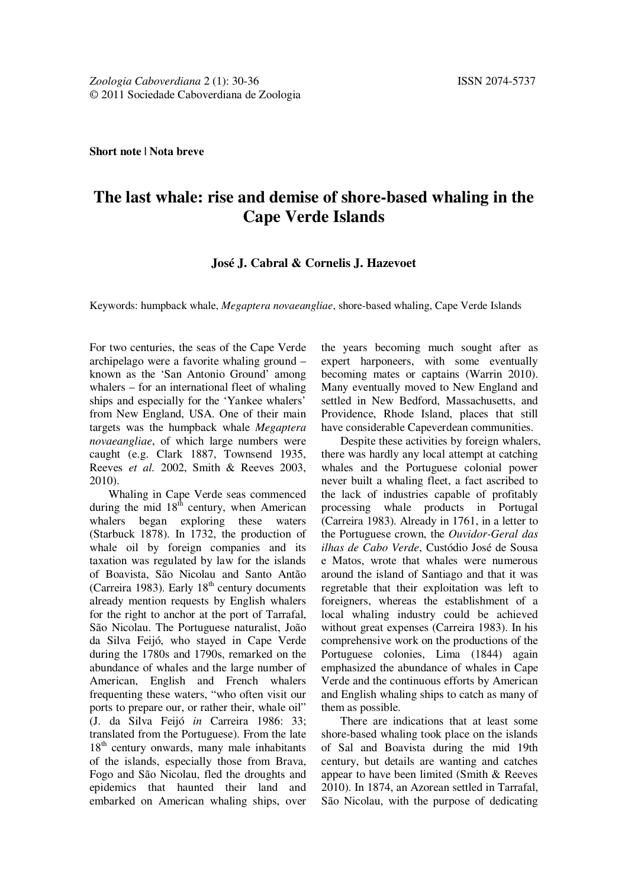# **The last whale: rise and demise of shore-based whaling in the Cape Verde Islands**

### **José J. Cabral & Cornelis J. Hazevoet**

Keywords: humpback whale, *Megaptera novaeangliae*, shore-based whaling, Cape Verde Islands

For two centuries, the seas of the Cape Verde archipelago were a favorite whaling ground – known as the 'San Antonio Ground' among whalers – for an international fleet of whaling ships and especially for the 'Yankee whalers' from New England, USA. One of their main targets was the humpback whale *Megaptera novaeangliae*, of which large numbers were caught (e.g. Clark 1887, Townsend 1935, Reeves *et al.* 2002, Smith & Reeves 2003, 2010).

Whaling in Cape Verde seas commenced during the mid  $18<sup>th</sup>$  century, when American whalers began exploring these waters (Starbuck 1878). In 1732, the production of whale oil by foreign companies and its taxation was regulated by law for the islands of Boavista, São Nicolau and Santo Antão (Carreira 1983). Early  $18<sup>th</sup>$  century documents already mention requests by English whalers for the right to anchor at the port of Tarrafal, São Nicolau. The Portuguese naturalist, João da Silva Feijó, who stayed in Cape Verde during the 1780s and 1790s, remarked on the abundance of whales and the large number of American, English and French whalers frequenting these waters, "who often visit our ports to prepare our, or rather their, whale oil" (J. da Silva Feijó *in* Carreira 1986: 33; translated from the Portuguese). From the late  $18<sup>th</sup>$  century onwards, many male inhabitants of the islands, especially those from Brava, Fogo and São Nicolau, fled the droughts and epidemics that haunted their land and embarked on American whaling ships, over

the years becoming much sought after as expert harponeers, with some eventually becoming mates or captains (Warrin 2010). Many eventually moved to New England and settled in New Bedford, Massachusetts, and Providence, Rhode Island, places that still have considerable Capeverdean communities.

Despite these activities by foreign whalers, there was hardly any local attempt at catching whales and the Portuguese colonial power never built a whaling fleet, a fact ascribed to the lack of industries capable of profitably processing whale products in Portugal (Carreira 1983). Already in 1761, in a letter to the Portuguese crown, the *Ouvidor-Geral das ilhas de Cabo Verde*, Custódio José de Sousa e Matos, wrote that whales were numerous around the island of Santiago and that it was regretable that their exploitation was left to foreigners, whereas the establishment of a local whaling industry could be achieved without great expenses (Carreira 1983). In his comprehensive work on the productions of the Portuguese colonies, Lima (1844) again emphasized the abundance of whales in Cape Verde and the continuous efforts by American and English whaling ships to catch as many of them as possible.

There are indications that at least some shore-based whaling took place on the islands of Sal and Boavista during the mid 19th century, but details are wanting and catches appear to have been limited (Smith & Reeves 2010). In 1874, an Azorean settled in Tarrafal, São Nicolau, with the purpose of dedicating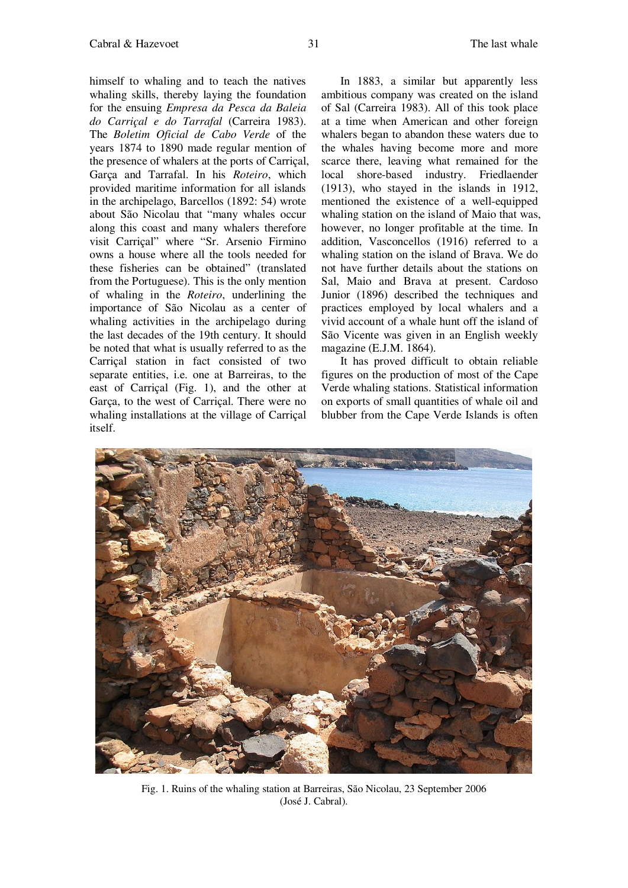himself to whaling and to teach the natives whaling skills, thereby laying the foundation for the ensuing *Empresa da Pesca da Baleia do Carriçal e do Tarrafal* (Carreira 1983). The *Boletim Oficial de Cabo Verde* of the years 1874 to 1890 made regular mention of the presence of whalers at the ports of Carriçal, Garça and Tarrafal. In his *Roteiro*, which provided maritime information for all islands in the archipelago, Barcellos (1892: 54) wrote about São Nicolau that "many whales occur along this coast and many whalers therefore visit Carriçal" where "Sr. Arsenio Firmino owns a house where all the tools needed for these fisheries can be obtained" (translated from the Portuguese). This is the only mention of whaling in the *Roteiro*, underlining the importance of São Nicolau as a center of whaling activities in the archipelago during the last decades of the 19th century. It should be noted that what is usually referred to as the Carriçal station in fact consisted of two separate entities, i.e. one at Barreiras, to the east of Carriçal (Fig. 1), and the other at Garça, to the west of Carriçal. There were no whaling installations at the village of Carriçal itself.

In 1883, a similar but apparently less ambitious company was created on the island of Sal (Carreira 1983). All of this took place at a time when American and other foreign whalers began to abandon these waters due to the whales having become more and more scarce there, leaving what remained for the local shore-based industry. Friedlaender (1913), who stayed in the islands in 1912, mentioned the existence of a well-equipped whaling station on the island of Maio that was, however, no longer profitable at the time. In addition, Vasconcellos (1916) referred to a whaling station on the island of Brava. We do not have further details about the stations on Sal, Maio and Brava at present. Cardoso Junior (1896) described the techniques and practices employed by local whalers and a vivid account of a whale hunt off the island of São Vicente was given in an English weekly magazine (E.J.M. 1864).

It has proved difficult to obtain reliable figures on the production of most of the Cape Verde whaling stations. Statistical information on exports of small quantities of whale oil and blubber from the Cape Verde Islands is often



Fig. 1. Ruins of the whaling station at Barreiras, São Nicolau, 23 September 2006 (José J. Cabral).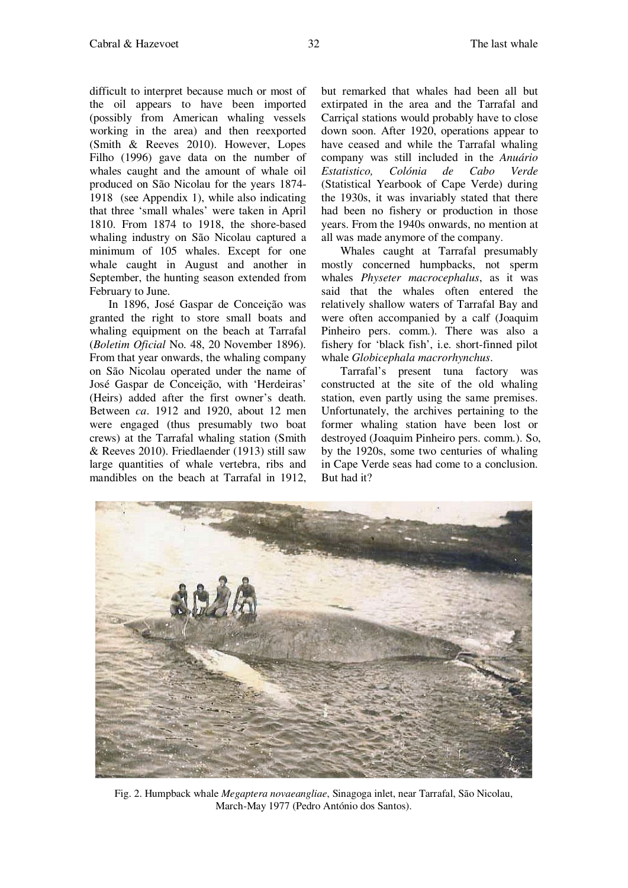difficult to interpret because much or most of the oil appears to have been imported (possibly from American whaling vessels working in the area) and then reexported (Smith & Reeves 2010). However, Lopes Filho (1996) gave data on the number of whales caught and the amount of whale oil produced on São Nicolau for the years 1874- 1918 (see Appendix 1), while also indicating that three 'small whales' were taken in April 1810. From 1874 to 1918, the shore-based whaling industry on São Nicolau captured a minimum of 105 whales. Except for one whale caught in August and another in

February to June. In 1896, José Gaspar de Conceição was granted the right to store small boats and whaling equipment on the beach at Tarrafal (*Boletim Oficial* No. 48, 20 November 1896). From that year onwards, the whaling company on São Nicolau operated under the name of José Gaspar de Conceição, with 'Herdeiras' (Heirs) added after the first owner's death. Between *ca*. 1912 and 1920, about 12 men were engaged (thus presumably two boat crews) at the Tarrafal whaling station (Smith & Reeves 2010). Friedlaender (1913) still saw large quantities of whale vertebra, ribs and mandibles on the beach at Tarrafal in 1912,

September, the hunting season extended from

but remarked that whales had been all but extirpated in the area and the Tarrafal and Carriçal stations would probably have to close down soon. After 1920, operations appear to have ceased and while the Tarrafal whaling company was still included in the *Anuário Estatistico, Colónia de Cabo Verde* (Statistical Yearbook of Cape Verde) during the 1930s, it was invariably stated that there had been no fishery or production in those years. From the 1940s onwards, no mention at all was made anymore of the company.

Whales caught at Tarrafal presumably mostly concerned humpbacks, not sperm whales *Physeter macrocephalus*, as it was said that the whales often entered the relatively shallow waters of Tarrafal Bay and were often accompanied by a calf (Joaquim Pinheiro pers. comm.). There was also a fishery for 'black fish', i.e. short-finned pilot whale *Globicephala macrorhynchus*.

Tarrafal's present tuna factory was constructed at the site of the old whaling station, even partly using the same premises. Unfortunately, the archives pertaining to the former whaling station have been lost or destroyed (Joaquim Pinheiro pers. comm.). So, by the 1920s, some two centuries of whaling in Cape Verde seas had come to a conclusion. But had it?

Fig. 2. Humpback whale *Megaptera novaeangliae*, Sinagoga inlet, near Tarrafal, São Nicolau,

March-May 1977 (Pedro António dos Santos).

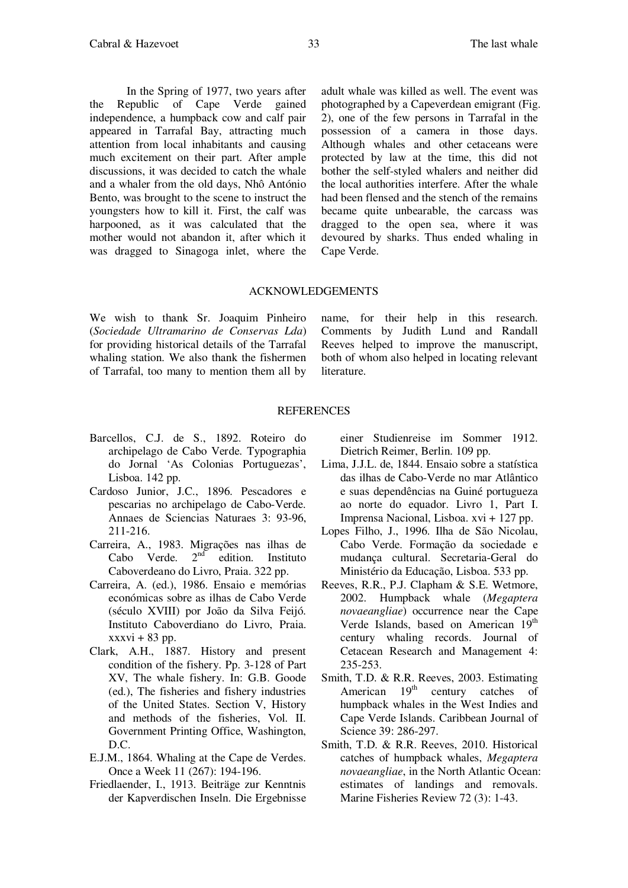In the Spring of 1977, two years after the Republic of Cape Verde gained independence, a humpback cow and calf pair appeared in Tarrafal Bay, attracting much attention from local inhabitants and causing much excitement on their part. After ample discussions, it was decided to catch the whale and a whaler from the old days, Nhô António Bento, was brought to the scene to instruct the youngsters how to kill it. First, the calf was harpooned, as it was calculated that the mother would not abandon it, after which it was dragged to Sinagoga inlet, where the

adult whale was killed as well. The event was photographed by a Capeverdean emigrant (Fig. 2), one of the few persons in Tarrafal in the possession of a camera in those days. Although whales and other cetaceans were protected by law at the time, this did not bother the self-styled whalers and neither did the local authorities interfere. After the whale had been flensed and the stench of the remains became quite unbearable, the carcass was dragged to the open sea, where it was devoured by sharks. Thus ended whaling in Cape Verde.

### ACKNOWLEDGEMENTS

We wish to thank Sr. Joaquim Pinheiro (*Sociedade Ultramarino de Conservas Lda*) for providing historical details of the Tarrafal whaling station. We also thank the fishermen of Tarrafal, too many to mention them all by name, for their help in this research. Comments by Judith Lund and Randall Reeves helped to improve the manuscript, both of whom also helped in locating relevant literature.

#### REFERENCES

- Barcellos, C.J. de S., 1892. Roteiro do archipelago de Cabo Verde. Typographia do Jornal 'As Colonias Portuguezas', Lisboa. 142 pp.
- Cardoso Junior, J.C., 1896. Pescadores e pescarias no archipelago de Cabo-Verde. Annaes de Sciencias Naturaes 3: 93-96, 211-216.
- Carreira, A., 1983. Migrações nas ilhas de Cabo Verde.  $2<sup>nd</sup>$  edition. Instituto Caboverdeano do Livro, Praia. 322 pp.
- Carreira, A. (ed.), 1986. Ensaio e memórias económicas sobre as ilhas de Cabo Verde (século XVIII) por João da Silva Feijó. Instituto Caboverdiano do Livro, Praia.  $xxxvi + 83 pp.$
- Clark, A.H., 1887. History and present condition of the fishery. Pp. 3-128 of Part XV, The whale fishery. In: G.B. Goode (ed.), The fisheries and fishery industries of the United States. Section V, History and methods of the fisheries, Vol. II. Government Printing Office, Washington, D.C.
- E.J.M., 1864. Whaling at the Cape de Verdes. Once a Week 11 (267): 194-196.
- Friedlaender, I., 1913. Beiträge zur Kenntnis der Kapverdischen Inseln. Die Ergebnisse

einer Studienreise im Sommer 1912. Dietrich Reimer, Berlin. 109 pp.

- Lima, J.J.L. de, 1844. Ensaio sobre a statística das ilhas de Cabo-Verde no mar Atlântico e suas dependências na Guiné portugueza ao norte do equador. Livro 1, Part I. Imprensa Nacional, Lisboa. xvi + 127 pp.
- Lopes Filho, J., 1996. Ilha de São Nicolau, Cabo Verde. Formação da sociedade e mudança cultural. Secretaria-Geral do Ministério da Educação, Lisboa. 533 pp.
- Reeves, R.R., P.J. Clapham & S.E. Wetmore, 2002. Humpback whale (*Megaptera novaeangliae*) occurrence near the Cape Verde Islands, based on American 19<sup>th</sup> century whaling records. Journal of Cetacean Research and Management 4: 235-253.
- Smith, T.D. & R.R. Reeves, 2003. Estimating American  $19<sup>th</sup>$  century catches of humpback whales in the West Indies and Cape Verde Islands. Caribbean Journal of Science 39: 286-297.
- Smith, T.D. & R.R. Reeves, 2010. Historical catches of humpback whales, *Megaptera novaeangliae*, in the North Atlantic Ocean: estimates of landings and removals. Marine Fisheries Review 72 (3): 1-43.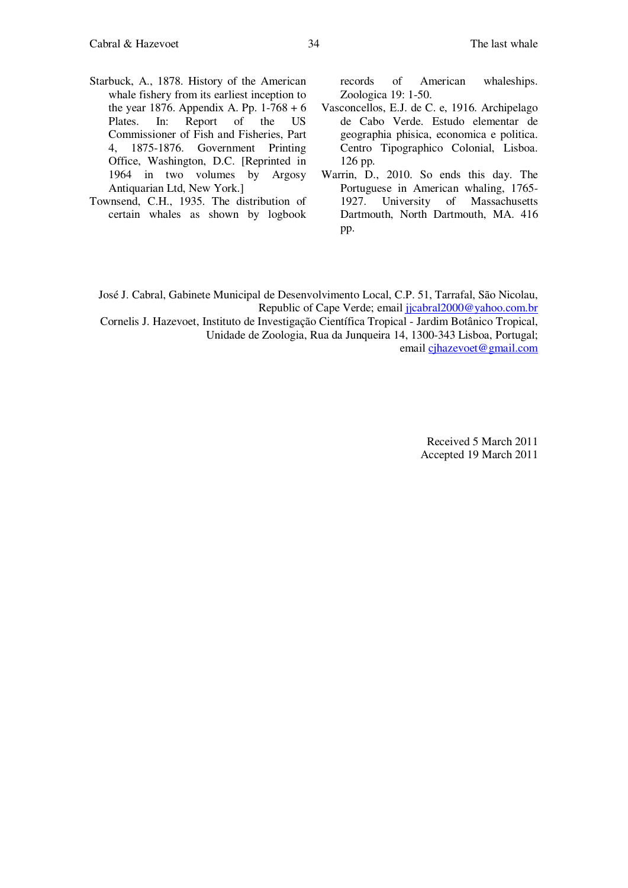- Starbuck, A., 1878. History of the American whale fishery from its earliest inception to the year 1876. Appendix A. Pp.  $1-768 + 6$ Plates. In: Report of the US Commissioner of Fish and Fisheries, Part 4, 1875-1876. Government Printing Office, Washington, D.C. [Reprinted in 1964 in two volumes by Argosy Antiquarian Ltd, New York.]
- Townsend, C.H., 1935. The distribution of certain whales as shown by logbook

records of American whaleships. Zoologica 19: 1-50.

- Vasconcellos, E.J. de C. e, 1916. Archipelago de Cabo Verde. Estudo elementar de geographia phisica, economica e politica. Centro Tipographico Colonial, Lisboa. 126 pp.
- Warrin, D., 2010. So ends this day. The Portuguese in American whaling, 1765- 1927. University of Massachusetts Dartmouth, North Dartmouth, MA. 416 pp.

José J. Cabral, Gabinete Municipal de Desenvolvimento Local, C.P. 51, Tarrafal, São Nicolau, Republic of Cape Verde; email jicabral2000@yahoo.com.br

Cornelis J. Hazevoet, Instituto de Investigação Científica Tropical - Jardim Botânico Tropical, Unidade de Zoologia, Rua da Junqueira 14, 1300-343 Lisboa, Portugal; email cjhazevoet@gmail.com

> Received 5 March 2011 Accepted 19 March 2011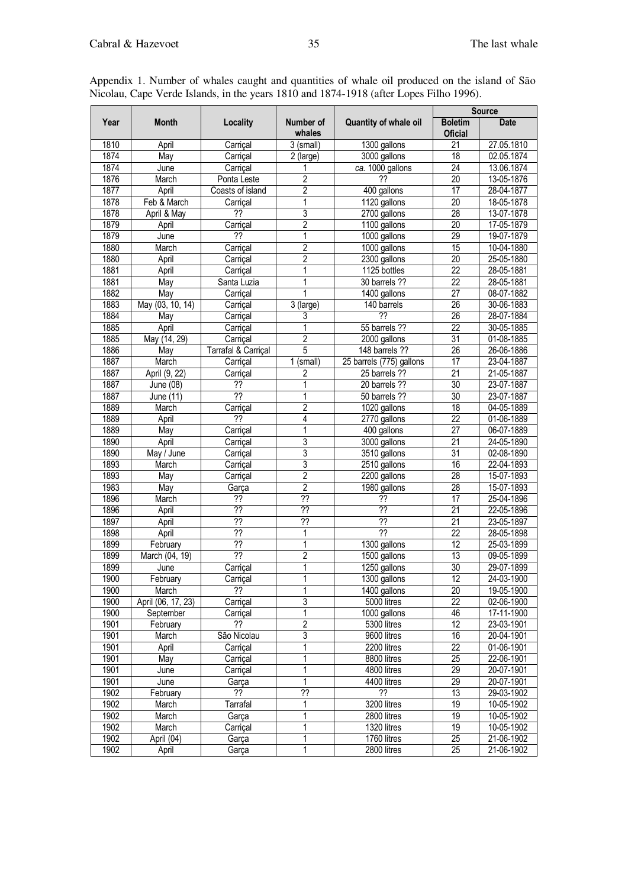| Year<br><b>Month</b><br>Quantity of whale oil<br><b>Boletim</b><br><b>Date</b><br>Locality<br>Number of<br>whales<br><b>Oficial</b><br>1810<br>$\overline{21}$<br>27.05.1810<br>$3$ (small)<br>1300 gallons<br>April<br>Carriçal<br>3000 gallons<br>18<br>1874<br>02.05.1874<br>May<br>Carriçal<br>2 (large)<br>ca. 1000 gallons<br>$\overline{24}$<br>1874<br>13.06.1874<br>June<br>Carriçal<br>1876<br>2<br>??<br>20<br>13-05-1876<br>March<br>Ponta Leste<br>$\overline{2}$<br>1877<br>17<br>400 gallons<br>28-04-1877<br>April<br>Coasts of island<br>$\overline{20}$<br>1878<br>1<br>1120 gallons<br>Feb & March<br>18-05-1878<br>Carriçal<br>$\overline{?}$<br>3<br>1878<br>2700 gallons<br>28<br>13-07-1878<br>April & May<br>1879<br>$\overline{2}$<br>1100 gallons<br>$\overline{20}$<br>17-05-1879<br>Carriçal<br>April<br>1879<br>??<br>1000 gallons<br>29<br>June<br>1<br>19-07-1879<br>$\overline{2}$<br>1880<br>1000 gallons<br>15<br>10-04-1880<br>March<br>Carriçal<br>$\overline{2}$<br>$\overline{20}$<br>1880<br>25-05-1880<br>April<br>2300 gallons<br>Carriçal<br>22<br>28-05-1881<br>1881<br>1<br>1125 bottles<br>April<br>Carriçal<br>$\overline{22}$<br>1881<br>1<br>May<br>Santa Luzia<br>30 barrels ??<br>28-05-1881<br>1882<br>$\overline{27}$<br>1400 gallons<br>08-07-1882<br>May<br>Carrical<br>1883<br>$\overline{26}$<br>May (03, 10, 14)<br>$3$ (large)<br>140 barrels<br>30-06-1883<br>Carriçal<br>1884<br>??<br>$\overline{26}$<br>28-07-1884<br>May<br>3<br>Carriçal<br>$\overline{22}$<br>1885<br>April<br>55 barrels ??<br>30-05-1885<br>Carriçal<br>May (14, 29)<br>$\overline{2}$<br>1885<br>$\overline{31}$<br>01-08-1885<br>2000 gallons<br>Carriçal<br>5<br>1886<br>26<br>Tarrafal & Carriçal<br>148 barrels ??<br>26-06-1886<br>May<br>1887<br>(small)<br>25 barrels (775) gallons<br>17<br>23-04-1887<br>March<br>Carriçal<br>1<br>$\overline{21}$<br>1887<br>April (9, 22)<br>2<br>25 barrels ??<br>21-05-1887<br>Carriçal<br>30<br>23-07-1887<br>1887<br>June $(08)$<br>??<br>20 barrels ??<br>$\overline{?}$<br>$\overline{30}$<br>23-07-1887<br>1887<br>June (11)<br>1<br>50 barrels ??<br>1889<br>$\overline{c}$<br>$\overline{18}$<br>04-05-1889<br>March<br>1020 gallons<br>Carriçal<br>1889<br>??<br>4<br>2770 gallons<br>$\overline{22}$<br>01-06-1889<br>April<br>$\overline{27}$<br>1889<br>1<br>400 gallons<br>06-07-1889<br>May<br>Carriçal<br>3<br>$\overline{21}$<br>1890<br>April<br>3000 gallons<br>24-05-1890<br>Carriçal<br>3<br>$\overline{31}$<br>1890<br>May / June<br>3510 gallons<br>02-08-1890<br>Carriçal<br>3<br>1893<br>22-04-1893<br>March<br>2510 gallons<br>16<br>Carriçal<br>1893<br>2<br>2200 gallons<br>28<br>15-07-1893<br>May<br>Carriçal<br>$\overline{2}$<br>28<br>1983<br>1980 gallons<br>May<br>15-07-1893<br>Garça<br>$\overline{?}$<br>$\overline{17}$<br>1896<br>$\overline{?}$<br>??<br>25-04-1896<br>March<br>$\overline{?}$<br>$\overline{?}$<br>$\overline{??}$<br>$\overline{21}$<br>1896<br>22-05-1896<br>April<br>??<br>1897<br>??<br>??<br>$\overline{21}$<br>23-05-1897<br>April<br>$\overline{?}$<br>1898<br>??<br>22<br>April<br>28-05-1898<br>1<br>??<br>1899<br>1<br>$\overline{12}$<br>1300 gallons<br>25-03-1899<br>February<br>$\overline{?}$<br>1899<br>$\overline{c}$<br>$\overline{13}$<br>March (04, 19)<br>1500 gallons<br>09-05-1899<br>30<br>1899<br>1<br>1250 gallons<br>29-07-1899<br>Carriçal<br>June<br>1900<br>1300 gallons<br>24-03-1900<br>12<br>February<br>Carrical<br>1<br>1900<br>??<br>20<br>1<br>1400 gallons<br>19-05-1900<br>March<br>3<br>5000 litres<br>22<br>1900<br>02-06-1900<br>April (06, 17, 23)<br>Carriçal<br>1<br>1900<br>1000 gallons<br>46<br>17-11-1900<br>September<br>Carriçal<br>$\overline{2}$<br>12<br>1901<br>??<br>5300 litres<br>23-03-1901<br>February<br>1901<br>$\overline{3}$<br>São Nicolau<br>9600 litres<br>16<br>20-04-1901<br>March<br>1901<br>$\overline{22}$<br>April<br>2200 litres<br>01-06-1901<br>Carriçal<br>25<br>1901<br>1<br>8800 litres<br>22-06-1901<br>May<br>Carriçal<br>29<br>1901<br>4800 litres<br>20-07-1901<br>Carriçal<br>June<br>29<br>1<br>20-07-1901<br>1901<br>4400 litres<br>June<br>Garça<br>$\overline{?}$<br>$\overline{?}$<br>1902<br>??<br>$\overline{13}$<br>29-03-1902<br>February<br>1902<br>19<br>10-05-1902<br>March<br>Tarrafal<br>1<br>3200 litres<br>1902<br>19<br>2800 litres<br>10-05-1902<br>March<br>Garça<br>1<br>1902<br>1320 litres<br>19<br>10-05-1902<br>March<br>Carriçal<br>25<br>1902<br>April (04)<br>1<br>1760 litres<br>21-06-1902<br>Garça |      |       |       |   |             | <b>Source</b>   |            |
|---------------------------------------------------------------------------------------------------------------------------------------------------------------------------------------------------------------------------------------------------------------------------------------------------------------------------------------------------------------------------------------------------------------------------------------------------------------------------------------------------------------------------------------------------------------------------------------------------------------------------------------------------------------------------------------------------------------------------------------------------------------------------------------------------------------------------------------------------------------------------------------------------------------------------------------------------------------------------------------------------------------------------------------------------------------------------------------------------------------------------------------------------------------------------------------------------------------------------------------------------------------------------------------------------------------------------------------------------------------------------------------------------------------------------------------------------------------------------------------------------------------------------------------------------------------------------------------------------------------------------------------------------------------------------------------------------------------------------------------------------------------------------------------------------------------------------------------------------------------------------------------------------------------------------------------------------------------------------------------------------------------------------------------------------------------------------------------------------------------------------------------------------------------------------------------------------------------------------------------------------------------------------------------------------------------------------------------------------------------------------------------------------------------------------------------------------------------------------------------------------------------------------------------------------------------------------------------------------------------------------------------------------------------------------------------------------------------------------------------------------------------------------------------------------------------------------------------------------------------------------------------------------------------------------------------------------------------------------------------------------------------------------------------------------------------------------------------------------------------------------------------------------------------------------------------------------------------------------------------------------------------------------------------------------------------------------------------------------------------------------------------------------------------------------------------------------------------------------------------------------------------------------------------------------------------------------------------------------------------------------------------------------------------------------------------------------------------------------------------------------------------------------------------------------------------------------------------------------------------------------------------------------------------------------------------------------------------------------------------------------------------------------------------------------------------------------------------------------------------------------------------------------------------------------------------------------------------------------------------------------------------------------------------------------------------------------------------------------------------------------------------------------------------------------------------------------------------------------------------------------------------------------------------------------------------|------|-------|-------|---|-------------|-----------------|------------|
|                                                                                                                                                                                                                                                                                                                                                                                                                                                                                                                                                                                                                                                                                                                                                                                                                                                                                                                                                                                                                                                                                                                                                                                                                                                                                                                                                                                                                                                                                                                                                                                                                                                                                                                                                                                                                                                                                                                                                                                                                                                                                                                                                                                                                                                                                                                                                                                                                                                                                                                                                                                                                                                                                                                                                                                                                                                                                                                                                                                                                                                                                                                                                                                                                                                                                                                                                                                                                                                                                                                                                                                                                                                                                                                                                                                                                                                                                                                                                                                                                                                                                                                                                                                                                                                                                                                                                                                                                                                                                                                                                               |      |       |       |   |             |                 |            |
|                                                                                                                                                                                                                                                                                                                                                                                                                                                                                                                                                                                                                                                                                                                                                                                                                                                                                                                                                                                                                                                                                                                                                                                                                                                                                                                                                                                                                                                                                                                                                                                                                                                                                                                                                                                                                                                                                                                                                                                                                                                                                                                                                                                                                                                                                                                                                                                                                                                                                                                                                                                                                                                                                                                                                                                                                                                                                                                                                                                                                                                                                                                                                                                                                                                                                                                                                                                                                                                                                                                                                                                                                                                                                                                                                                                                                                                                                                                                                                                                                                                                                                                                                                                                                                                                                                                                                                                                                                                                                                                                                               |      |       |       |   |             |                 |            |
|                                                                                                                                                                                                                                                                                                                                                                                                                                                                                                                                                                                                                                                                                                                                                                                                                                                                                                                                                                                                                                                                                                                                                                                                                                                                                                                                                                                                                                                                                                                                                                                                                                                                                                                                                                                                                                                                                                                                                                                                                                                                                                                                                                                                                                                                                                                                                                                                                                                                                                                                                                                                                                                                                                                                                                                                                                                                                                                                                                                                                                                                                                                                                                                                                                                                                                                                                                                                                                                                                                                                                                                                                                                                                                                                                                                                                                                                                                                                                                                                                                                                                                                                                                                                                                                                                                                                                                                                                                                                                                                                                               |      |       |       |   |             |                 |            |
|                                                                                                                                                                                                                                                                                                                                                                                                                                                                                                                                                                                                                                                                                                                                                                                                                                                                                                                                                                                                                                                                                                                                                                                                                                                                                                                                                                                                                                                                                                                                                                                                                                                                                                                                                                                                                                                                                                                                                                                                                                                                                                                                                                                                                                                                                                                                                                                                                                                                                                                                                                                                                                                                                                                                                                                                                                                                                                                                                                                                                                                                                                                                                                                                                                                                                                                                                                                                                                                                                                                                                                                                                                                                                                                                                                                                                                                                                                                                                                                                                                                                                                                                                                                                                                                                                                                                                                                                                                                                                                                                                               |      |       |       |   |             |                 |            |
|                                                                                                                                                                                                                                                                                                                                                                                                                                                                                                                                                                                                                                                                                                                                                                                                                                                                                                                                                                                                                                                                                                                                                                                                                                                                                                                                                                                                                                                                                                                                                                                                                                                                                                                                                                                                                                                                                                                                                                                                                                                                                                                                                                                                                                                                                                                                                                                                                                                                                                                                                                                                                                                                                                                                                                                                                                                                                                                                                                                                                                                                                                                                                                                                                                                                                                                                                                                                                                                                                                                                                                                                                                                                                                                                                                                                                                                                                                                                                                                                                                                                                                                                                                                                                                                                                                                                                                                                                                                                                                                                                               |      |       |       |   |             |                 |            |
|                                                                                                                                                                                                                                                                                                                                                                                                                                                                                                                                                                                                                                                                                                                                                                                                                                                                                                                                                                                                                                                                                                                                                                                                                                                                                                                                                                                                                                                                                                                                                                                                                                                                                                                                                                                                                                                                                                                                                                                                                                                                                                                                                                                                                                                                                                                                                                                                                                                                                                                                                                                                                                                                                                                                                                                                                                                                                                                                                                                                                                                                                                                                                                                                                                                                                                                                                                                                                                                                                                                                                                                                                                                                                                                                                                                                                                                                                                                                                                                                                                                                                                                                                                                                                                                                                                                                                                                                                                                                                                                                                               |      |       |       |   |             |                 |            |
|                                                                                                                                                                                                                                                                                                                                                                                                                                                                                                                                                                                                                                                                                                                                                                                                                                                                                                                                                                                                                                                                                                                                                                                                                                                                                                                                                                                                                                                                                                                                                                                                                                                                                                                                                                                                                                                                                                                                                                                                                                                                                                                                                                                                                                                                                                                                                                                                                                                                                                                                                                                                                                                                                                                                                                                                                                                                                                                                                                                                                                                                                                                                                                                                                                                                                                                                                                                                                                                                                                                                                                                                                                                                                                                                                                                                                                                                                                                                                                                                                                                                                                                                                                                                                                                                                                                                                                                                                                                                                                                                                               |      |       |       |   |             |                 |            |
|                                                                                                                                                                                                                                                                                                                                                                                                                                                                                                                                                                                                                                                                                                                                                                                                                                                                                                                                                                                                                                                                                                                                                                                                                                                                                                                                                                                                                                                                                                                                                                                                                                                                                                                                                                                                                                                                                                                                                                                                                                                                                                                                                                                                                                                                                                                                                                                                                                                                                                                                                                                                                                                                                                                                                                                                                                                                                                                                                                                                                                                                                                                                                                                                                                                                                                                                                                                                                                                                                                                                                                                                                                                                                                                                                                                                                                                                                                                                                                                                                                                                                                                                                                                                                                                                                                                                                                                                                                                                                                                                                               |      |       |       |   |             |                 |            |
|                                                                                                                                                                                                                                                                                                                                                                                                                                                                                                                                                                                                                                                                                                                                                                                                                                                                                                                                                                                                                                                                                                                                                                                                                                                                                                                                                                                                                                                                                                                                                                                                                                                                                                                                                                                                                                                                                                                                                                                                                                                                                                                                                                                                                                                                                                                                                                                                                                                                                                                                                                                                                                                                                                                                                                                                                                                                                                                                                                                                                                                                                                                                                                                                                                                                                                                                                                                                                                                                                                                                                                                                                                                                                                                                                                                                                                                                                                                                                                                                                                                                                                                                                                                                                                                                                                                                                                                                                                                                                                                                                               |      |       |       |   |             |                 |            |
|                                                                                                                                                                                                                                                                                                                                                                                                                                                                                                                                                                                                                                                                                                                                                                                                                                                                                                                                                                                                                                                                                                                                                                                                                                                                                                                                                                                                                                                                                                                                                                                                                                                                                                                                                                                                                                                                                                                                                                                                                                                                                                                                                                                                                                                                                                                                                                                                                                                                                                                                                                                                                                                                                                                                                                                                                                                                                                                                                                                                                                                                                                                                                                                                                                                                                                                                                                                                                                                                                                                                                                                                                                                                                                                                                                                                                                                                                                                                                                                                                                                                                                                                                                                                                                                                                                                                                                                                                                                                                                                                                               |      |       |       |   |             |                 |            |
|                                                                                                                                                                                                                                                                                                                                                                                                                                                                                                                                                                                                                                                                                                                                                                                                                                                                                                                                                                                                                                                                                                                                                                                                                                                                                                                                                                                                                                                                                                                                                                                                                                                                                                                                                                                                                                                                                                                                                                                                                                                                                                                                                                                                                                                                                                                                                                                                                                                                                                                                                                                                                                                                                                                                                                                                                                                                                                                                                                                                                                                                                                                                                                                                                                                                                                                                                                                                                                                                                                                                                                                                                                                                                                                                                                                                                                                                                                                                                                                                                                                                                                                                                                                                                                                                                                                                                                                                                                                                                                                                                               |      |       |       |   |             |                 |            |
|                                                                                                                                                                                                                                                                                                                                                                                                                                                                                                                                                                                                                                                                                                                                                                                                                                                                                                                                                                                                                                                                                                                                                                                                                                                                                                                                                                                                                                                                                                                                                                                                                                                                                                                                                                                                                                                                                                                                                                                                                                                                                                                                                                                                                                                                                                                                                                                                                                                                                                                                                                                                                                                                                                                                                                                                                                                                                                                                                                                                                                                                                                                                                                                                                                                                                                                                                                                                                                                                                                                                                                                                                                                                                                                                                                                                                                                                                                                                                                                                                                                                                                                                                                                                                                                                                                                                                                                                                                                                                                                                                               |      |       |       |   |             |                 |            |
|                                                                                                                                                                                                                                                                                                                                                                                                                                                                                                                                                                                                                                                                                                                                                                                                                                                                                                                                                                                                                                                                                                                                                                                                                                                                                                                                                                                                                                                                                                                                                                                                                                                                                                                                                                                                                                                                                                                                                                                                                                                                                                                                                                                                                                                                                                                                                                                                                                                                                                                                                                                                                                                                                                                                                                                                                                                                                                                                                                                                                                                                                                                                                                                                                                                                                                                                                                                                                                                                                                                                                                                                                                                                                                                                                                                                                                                                                                                                                                                                                                                                                                                                                                                                                                                                                                                                                                                                                                                                                                                                                               |      |       |       |   |             |                 |            |
|                                                                                                                                                                                                                                                                                                                                                                                                                                                                                                                                                                                                                                                                                                                                                                                                                                                                                                                                                                                                                                                                                                                                                                                                                                                                                                                                                                                                                                                                                                                                                                                                                                                                                                                                                                                                                                                                                                                                                                                                                                                                                                                                                                                                                                                                                                                                                                                                                                                                                                                                                                                                                                                                                                                                                                                                                                                                                                                                                                                                                                                                                                                                                                                                                                                                                                                                                                                                                                                                                                                                                                                                                                                                                                                                                                                                                                                                                                                                                                                                                                                                                                                                                                                                                                                                                                                                                                                                                                                                                                                                                               |      |       |       |   |             |                 |            |
|                                                                                                                                                                                                                                                                                                                                                                                                                                                                                                                                                                                                                                                                                                                                                                                                                                                                                                                                                                                                                                                                                                                                                                                                                                                                                                                                                                                                                                                                                                                                                                                                                                                                                                                                                                                                                                                                                                                                                                                                                                                                                                                                                                                                                                                                                                                                                                                                                                                                                                                                                                                                                                                                                                                                                                                                                                                                                                                                                                                                                                                                                                                                                                                                                                                                                                                                                                                                                                                                                                                                                                                                                                                                                                                                                                                                                                                                                                                                                                                                                                                                                                                                                                                                                                                                                                                                                                                                                                                                                                                                                               |      |       |       |   |             |                 |            |
|                                                                                                                                                                                                                                                                                                                                                                                                                                                                                                                                                                                                                                                                                                                                                                                                                                                                                                                                                                                                                                                                                                                                                                                                                                                                                                                                                                                                                                                                                                                                                                                                                                                                                                                                                                                                                                                                                                                                                                                                                                                                                                                                                                                                                                                                                                                                                                                                                                                                                                                                                                                                                                                                                                                                                                                                                                                                                                                                                                                                                                                                                                                                                                                                                                                                                                                                                                                                                                                                                                                                                                                                                                                                                                                                                                                                                                                                                                                                                                                                                                                                                                                                                                                                                                                                                                                                                                                                                                                                                                                                                               |      |       |       |   |             |                 |            |
|                                                                                                                                                                                                                                                                                                                                                                                                                                                                                                                                                                                                                                                                                                                                                                                                                                                                                                                                                                                                                                                                                                                                                                                                                                                                                                                                                                                                                                                                                                                                                                                                                                                                                                                                                                                                                                                                                                                                                                                                                                                                                                                                                                                                                                                                                                                                                                                                                                                                                                                                                                                                                                                                                                                                                                                                                                                                                                                                                                                                                                                                                                                                                                                                                                                                                                                                                                                                                                                                                                                                                                                                                                                                                                                                                                                                                                                                                                                                                                                                                                                                                                                                                                                                                                                                                                                                                                                                                                                                                                                                                               |      |       |       |   |             |                 |            |
|                                                                                                                                                                                                                                                                                                                                                                                                                                                                                                                                                                                                                                                                                                                                                                                                                                                                                                                                                                                                                                                                                                                                                                                                                                                                                                                                                                                                                                                                                                                                                                                                                                                                                                                                                                                                                                                                                                                                                                                                                                                                                                                                                                                                                                                                                                                                                                                                                                                                                                                                                                                                                                                                                                                                                                                                                                                                                                                                                                                                                                                                                                                                                                                                                                                                                                                                                                                                                                                                                                                                                                                                                                                                                                                                                                                                                                                                                                                                                                                                                                                                                                                                                                                                                                                                                                                                                                                                                                                                                                                                                               |      |       |       |   |             |                 |            |
|                                                                                                                                                                                                                                                                                                                                                                                                                                                                                                                                                                                                                                                                                                                                                                                                                                                                                                                                                                                                                                                                                                                                                                                                                                                                                                                                                                                                                                                                                                                                                                                                                                                                                                                                                                                                                                                                                                                                                                                                                                                                                                                                                                                                                                                                                                                                                                                                                                                                                                                                                                                                                                                                                                                                                                                                                                                                                                                                                                                                                                                                                                                                                                                                                                                                                                                                                                                                                                                                                                                                                                                                                                                                                                                                                                                                                                                                                                                                                                                                                                                                                                                                                                                                                                                                                                                                                                                                                                                                                                                                                               |      |       |       |   |             |                 |            |
|                                                                                                                                                                                                                                                                                                                                                                                                                                                                                                                                                                                                                                                                                                                                                                                                                                                                                                                                                                                                                                                                                                                                                                                                                                                                                                                                                                                                                                                                                                                                                                                                                                                                                                                                                                                                                                                                                                                                                                                                                                                                                                                                                                                                                                                                                                                                                                                                                                                                                                                                                                                                                                                                                                                                                                                                                                                                                                                                                                                                                                                                                                                                                                                                                                                                                                                                                                                                                                                                                                                                                                                                                                                                                                                                                                                                                                                                                                                                                                                                                                                                                                                                                                                                                                                                                                                                                                                                                                                                                                                                                               |      |       |       |   |             |                 |            |
|                                                                                                                                                                                                                                                                                                                                                                                                                                                                                                                                                                                                                                                                                                                                                                                                                                                                                                                                                                                                                                                                                                                                                                                                                                                                                                                                                                                                                                                                                                                                                                                                                                                                                                                                                                                                                                                                                                                                                                                                                                                                                                                                                                                                                                                                                                                                                                                                                                                                                                                                                                                                                                                                                                                                                                                                                                                                                                                                                                                                                                                                                                                                                                                                                                                                                                                                                                                                                                                                                                                                                                                                                                                                                                                                                                                                                                                                                                                                                                                                                                                                                                                                                                                                                                                                                                                                                                                                                                                                                                                                                               |      |       |       |   |             |                 |            |
|                                                                                                                                                                                                                                                                                                                                                                                                                                                                                                                                                                                                                                                                                                                                                                                                                                                                                                                                                                                                                                                                                                                                                                                                                                                                                                                                                                                                                                                                                                                                                                                                                                                                                                                                                                                                                                                                                                                                                                                                                                                                                                                                                                                                                                                                                                                                                                                                                                                                                                                                                                                                                                                                                                                                                                                                                                                                                                                                                                                                                                                                                                                                                                                                                                                                                                                                                                                                                                                                                                                                                                                                                                                                                                                                                                                                                                                                                                                                                                                                                                                                                                                                                                                                                                                                                                                                                                                                                                                                                                                                                               |      |       |       |   |             |                 |            |
|                                                                                                                                                                                                                                                                                                                                                                                                                                                                                                                                                                                                                                                                                                                                                                                                                                                                                                                                                                                                                                                                                                                                                                                                                                                                                                                                                                                                                                                                                                                                                                                                                                                                                                                                                                                                                                                                                                                                                                                                                                                                                                                                                                                                                                                                                                                                                                                                                                                                                                                                                                                                                                                                                                                                                                                                                                                                                                                                                                                                                                                                                                                                                                                                                                                                                                                                                                                                                                                                                                                                                                                                                                                                                                                                                                                                                                                                                                                                                                                                                                                                                                                                                                                                                                                                                                                                                                                                                                                                                                                                                               |      |       |       |   |             |                 |            |
|                                                                                                                                                                                                                                                                                                                                                                                                                                                                                                                                                                                                                                                                                                                                                                                                                                                                                                                                                                                                                                                                                                                                                                                                                                                                                                                                                                                                                                                                                                                                                                                                                                                                                                                                                                                                                                                                                                                                                                                                                                                                                                                                                                                                                                                                                                                                                                                                                                                                                                                                                                                                                                                                                                                                                                                                                                                                                                                                                                                                                                                                                                                                                                                                                                                                                                                                                                                                                                                                                                                                                                                                                                                                                                                                                                                                                                                                                                                                                                                                                                                                                                                                                                                                                                                                                                                                                                                                                                                                                                                                                               |      |       |       |   |             |                 |            |
|                                                                                                                                                                                                                                                                                                                                                                                                                                                                                                                                                                                                                                                                                                                                                                                                                                                                                                                                                                                                                                                                                                                                                                                                                                                                                                                                                                                                                                                                                                                                                                                                                                                                                                                                                                                                                                                                                                                                                                                                                                                                                                                                                                                                                                                                                                                                                                                                                                                                                                                                                                                                                                                                                                                                                                                                                                                                                                                                                                                                                                                                                                                                                                                                                                                                                                                                                                                                                                                                                                                                                                                                                                                                                                                                                                                                                                                                                                                                                                                                                                                                                                                                                                                                                                                                                                                                                                                                                                                                                                                                                               |      |       |       |   |             |                 |            |
|                                                                                                                                                                                                                                                                                                                                                                                                                                                                                                                                                                                                                                                                                                                                                                                                                                                                                                                                                                                                                                                                                                                                                                                                                                                                                                                                                                                                                                                                                                                                                                                                                                                                                                                                                                                                                                                                                                                                                                                                                                                                                                                                                                                                                                                                                                                                                                                                                                                                                                                                                                                                                                                                                                                                                                                                                                                                                                                                                                                                                                                                                                                                                                                                                                                                                                                                                                                                                                                                                                                                                                                                                                                                                                                                                                                                                                                                                                                                                                                                                                                                                                                                                                                                                                                                                                                                                                                                                                                                                                                                                               |      |       |       |   |             |                 |            |
|                                                                                                                                                                                                                                                                                                                                                                                                                                                                                                                                                                                                                                                                                                                                                                                                                                                                                                                                                                                                                                                                                                                                                                                                                                                                                                                                                                                                                                                                                                                                                                                                                                                                                                                                                                                                                                                                                                                                                                                                                                                                                                                                                                                                                                                                                                                                                                                                                                                                                                                                                                                                                                                                                                                                                                                                                                                                                                                                                                                                                                                                                                                                                                                                                                                                                                                                                                                                                                                                                                                                                                                                                                                                                                                                                                                                                                                                                                                                                                                                                                                                                                                                                                                                                                                                                                                                                                                                                                                                                                                                                               |      |       |       |   |             |                 |            |
|                                                                                                                                                                                                                                                                                                                                                                                                                                                                                                                                                                                                                                                                                                                                                                                                                                                                                                                                                                                                                                                                                                                                                                                                                                                                                                                                                                                                                                                                                                                                                                                                                                                                                                                                                                                                                                                                                                                                                                                                                                                                                                                                                                                                                                                                                                                                                                                                                                                                                                                                                                                                                                                                                                                                                                                                                                                                                                                                                                                                                                                                                                                                                                                                                                                                                                                                                                                                                                                                                                                                                                                                                                                                                                                                                                                                                                                                                                                                                                                                                                                                                                                                                                                                                                                                                                                                                                                                                                                                                                                                                               |      |       |       |   |             |                 |            |
|                                                                                                                                                                                                                                                                                                                                                                                                                                                                                                                                                                                                                                                                                                                                                                                                                                                                                                                                                                                                                                                                                                                                                                                                                                                                                                                                                                                                                                                                                                                                                                                                                                                                                                                                                                                                                                                                                                                                                                                                                                                                                                                                                                                                                                                                                                                                                                                                                                                                                                                                                                                                                                                                                                                                                                                                                                                                                                                                                                                                                                                                                                                                                                                                                                                                                                                                                                                                                                                                                                                                                                                                                                                                                                                                                                                                                                                                                                                                                                                                                                                                                                                                                                                                                                                                                                                                                                                                                                                                                                                                                               |      |       |       |   |             |                 |            |
|                                                                                                                                                                                                                                                                                                                                                                                                                                                                                                                                                                                                                                                                                                                                                                                                                                                                                                                                                                                                                                                                                                                                                                                                                                                                                                                                                                                                                                                                                                                                                                                                                                                                                                                                                                                                                                                                                                                                                                                                                                                                                                                                                                                                                                                                                                                                                                                                                                                                                                                                                                                                                                                                                                                                                                                                                                                                                                                                                                                                                                                                                                                                                                                                                                                                                                                                                                                                                                                                                                                                                                                                                                                                                                                                                                                                                                                                                                                                                                                                                                                                                                                                                                                                                                                                                                                                                                                                                                                                                                                                                               |      |       |       |   |             |                 |            |
|                                                                                                                                                                                                                                                                                                                                                                                                                                                                                                                                                                                                                                                                                                                                                                                                                                                                                                                                                                                                                                                                                                                                                                                                                                                                                                                                                                                                                                                                                                                                                                                                                                                                                                                                                                                                                                                                                                                                                                                                                                                                                                                                                                                                                                                                                                                                                                                                                                                                                                                                                                                                                                                                                                                                                                                                                                                                                                                                                                                                                                                                                                                                                                                                                                                                                                                                                                                                                                                                                                                                                                                                                                                                                                                                                                                                                                                                                                                                                                                                                                                                                                                                                                                                                                                                                                                                                                                                                                                                                                                                                               |      |       |       |   |             |                 |            |
|                                                                                                                                                                                                                                                                                                                                                                                                                                                                                                                                                                                                                                                                                                                                                                                                                                                                                                                                                                                                                                                                                                                                                                                                                                                                                                                                                                                                                                                                                                                                                                                                                                                                                                                                                                                                                                                                                                                                                                                                                                                                                                                                                                                                                                                                                                                                                                                                                                                                                                                                                                                                                                                                                                                                                                                                                                                                                                                                                                                                                                                                                                                                                                                                                                                                                                                                                                                                                                                                                                                                                                                                                                                                                                                                                                                                                                                                                                                                                                                                                                                                                                                                                                                                                                                                                                                                                                                                                                                                                                                                                               |      |       |       |   |             |                 |            |
|                                                                                                                                                                                                                                                                                                                                                                                                                                                                                                                                                                                                                                                                                                                                                                                                                                                                                                                                                                                                                                                                                                                                                                                                                                                                                                                                                                                                                                                                                                                                                                                                                                                                                                                                                                                                                                                                                                                                                                                                                                                                                                                                                                                                                                                                                                                                                                                                                                                                                                                                                                                                                                                                                                                                                                                                                                                                                                                                                                                                                                                                                                                                                                                                                                                                                                                                                                                                                                                                                                                                                                                                                                                                                                                                                                                                                                                                                                                                                                                                                                                                                                                                                                                                                                                                                                                                                                                                                                                                                                                                                               |      |       |       |   |             |                 |            |
|                                                                                                                                                                                                                                                                                                                                                                                                                                                                                                                                                                                                                                                                                                                                                                                                                                                                                                                                                                                                                                                                                                                                                                                                                                                                                                                                                                                                                                                                                                                                                                                                                                                                                                                                                                                                                                                                                                                                                                                                                                                                                                                                                                                                                                                                                                                                                                                                                                                                                                                                                                                                                                                                                                                                                                                                                                                                                                                                                                                                                                                                                                                                                                                                                                                                                                                                                                                                                                                                                                                                                                                                                                                                                                                                                                                                                                                                                                                                                                                                                                                                                                                                                                                                                                                                                                                                                                                                                                                                                                                                                               |      |       |       |   |             |                 |            |
|                                                                                                                                                                                                                                                                                                                                                                                                                                                                                                                                                                                                                                                                                                                                                                                                                                                                                                                                                                                                                                                                                                                                                                                                                                                                                                                                                                                                                                                                                                                                                                                                                                                                                                                                                                                                                                                                                                                                                                                                                                                                                                                                                                                                                                                                                                                                                                                                                                                                                                                                                                                                                                                                                                                                                                                                                                                                                                                                                                                                                                                                                                                                                                                                                                                                                                                                                                                                                                                                                                                                                                                                                                                                                                                                                                                                                                                                                                                                                                                                                                                                                                                                                                                                                                                                                                                                                                                                                                                                                                                                                               |      |       |       |   |             |                 |            |
|                                                                                                                                                                                                                                                                                                                                                                                                                                                                                                                                                                                                                                                                                                                                                                                                                                                                                                                                                                                                                                                                                                                                                                                                                                                                                                                                                                                                                                                                                                                                                                                                                                                                                                                                                                                                                                                                                                                                                                                                                                                                                                                                                                                                                                                                                                                                                                                                                                                                                                                                                                                                                                                                                                                                                                                                                                                                                                                                                                                                                                                                                                                                                                                                                                                                                                                                                                                                                                                                                                                                                                                                                                                                                                                                                                                                                                                                                                                                                                                                                                                                                                                                                                                                                                                                                                                                                                                                                                                                                                                                                               |      |       |       |   |             |                 |            |
|                                                                                                                                                                                                                                                                                                                                                                                                                                                                                                                                                                                                                                                                                                                                                                                                                                                                                                                                                                                                                                                                                                                                                                                                                                                                                                                                                                                                                                                                                                                                                                                                                                                                                                                                                                                                                                                                                                                                                                                                                                                                                                                                                                                                                                                                                                                                                                                                                                                                                                                                                                                                                                                                                                                                                                                                                                                                                                                                                                                                                                                                                                                                                                                                                                                                                                                                                                                                                                                                                                                                                                                                                                                                                                                                                                                                                                                                                                                                                                                                                                                                                                                                                                                                                                                                                                                                                                                                                                                                                                                                                               |      |       |       |   |             |                 |            |
|                                                                                                                                                                                                                                                                                                                                                                                                                                                                                                                                                                                                                                                                                                                                                                                                                                                                                                                                                                                                                                                                                                                                                                                                                                                                                                                                                                                                                                                                                                                                                                                                                                                                                                                                                                                                                                                                                                                                                                                                                                                                                                                                                                                                                                                                                                                                                                                                                                                                                                                                                                                                                                                                                                                                                                                                                                                                                                                                                                                                                                                                                                                                                                                                                                                                                                                                                                                                                                                                                                                                                                                                                                                                                                                                                                                                                                                                                                                                                                                                                                                                                                                                                                                                                                                                                                                                                                                                                                                                                                                                                               |      |       |       |   |             |                 |            |
|                                                                                                                                                                                                                                                                                                                                                                                                                                                                                                                                                                                                                                                                                                                                                                                                                                                                                                                                                                                                                                                                                                                                                                                                                                                                                                                                                                                                                                                                                                                                                                                                                                                                                                                                                                                                                                                                                                                                                                                                                                                                                                                                                                                                                                                                                                                                                                                                                                                                                                                                                                                                                                                                                                                                                                                                                                                                                                                                                                                                                                                                                                                                                                                                                                                                                                                                                                                                                                                                                                                                                                                                                                                                                                                                                                                                                                                                                                                                                                                                                                                                                                                                                                                                                                                                                                                                                                                                                                                                                                                                                               |      |       |       |   |             |                 |            |
|                                                                                                                                                                                                                                                                                                                                                                                                                                                                                                                                                                                                                                                                                                                                                                                                                                                                                                                                                                                                                                                                                                                                                                                                                                                                                                                                                                                                                                                                                                                                                                                                                                                                                                                                                                                                                                                                                                                                                                                                                                                                                                                                                                                                                                                                                                                                                                                                                                                                                                                                                                                                                                                                                                                                                                                                                                                                                                                                                                                                                                                                                                                                                                                                                                                                                                                                                                                                                                                                                                                                                                                                                                                                                                                                                                                                                                                                                                                                                                                                                                                                                                                                                                                                                                                                                                                                                                                                                                                                                                                                                               |      |       |       |   |             |                 |            |
|                                                                                                                                                                                                                                                                                                                                                                                                                                                                                                                                                                                                                                                                                                                                                                                                                                                                                                                                                                                                                                                                                                                                                                                                                                                                                                                                                                                                                                                                                                                                                                                                                                                                                                                                                                                                                                                                                                                                                                                                                                                                                                                                                                                                                                                                                                                                                                                                                                                                                                                                                                                                                                                                                                                                                                                                                                                                                                                                                                                                                                                                                                                                                                                                                                                                                                                                                                                                                                                                                                                                                                                                                                                                                                                                                                                                                                                                                                                                                                                                                                                                                                                                                                                                                                                                                                                                                                                                                                                                                                                                                               |      |       |       |   |             |                 |            |
|                                                                                                                                                                                                                                                                                                                                                                                                                                                                                                                                                                                                                                                                                                                                                                                                                                                                                                                                                                                                                                                                                                                                                                                                                                                                                                                                                                                                                                                                                                                                                                                                                                                                                                                                                                                                                                                                                                                                                                                                                                                                                                                                                                                                                                                                                                                                                                                                                                                                                                                                                                                                                                                                                                                                                                                                                                                                                                                                                                                                                                                                                                                                                                                                                                                                                                                                                                                                                                                                                                                                                                                                                                                                                                                                                                                                                                                                                                                                                                                                                                                                                                                                                                                                                                                                                                                                                                                                                                                                                                                                                               |      |       |       |   |             |                 |            |
|                                                                                                                                                                                                                                                                                                                                                                                                                                                                                                                                                                                                                                                                                                                                                                                                                                                                                                                                                                                                                                                                                                                                                                                                                                                                                                                                                                                                                                                                                                                                                                                                                                                                                                                                                                                                                                                                                                                                                                                                                                                                                                                                                                                                                                                                                                                                                                                                                                                                                                                                                                                                                                                                                                                                                                                                                                                                                                                                                                                                                                                                                                                                                                                                                                                                                                                                                                                                                                                                                                                                                                                                                                                                                                                                                                                                                                                                                                                                                                                                                                                                                                                                                                                                                                                                                                                                                                                                                                                                                                                                                               |      |       |       |   |             |                 |            |
|                                                                                                                                                                                                                                                                                                                                                                                                                                                                                                                                                                                                                                                                                                                                                                                                                                                                                                                                                                                                                                                                                                                                                                                                                                                                                                                                                                                                                                                                                                                                                                                                                                                                                                                                                                                                                                                                                                                                                                                                                                                                                                                                                                                                                                                                                                                                                                                                                                                                                                                                                                                                                                                                                                                                                                                                                                                                                                                                                                                                                                                                                                                                                                                                                                                                                                                                                                                                                                                                                                                                                                                                                                                                                                                                                                                                                                                                                                                                                                                                                                                                                                                                                                                                                                                                                                                                                                                                                                                                                                                                                               |      |       |       |   |             |                 |            |
|                                                                                                                                                                                                                                                                                                                                                                                                                                                                                                                                                                                                                                                                                                                                                                                                                                                                                                                                                                                                                                                                                                                                                                                                                                                                                                                                                                                                                                                                                                                                                                                                                                                                                                                                                                                                                                                                                                                                                                                                                                                                                                                                                                                                                                                                                                                                                                                                                                                                                                                                                                                                                                                                                                                                                                                                                                                                                                                                                                                                                                                                                                                                                                                                                                                                                                                                                                                                                                                                                                                                                                                                                                                                                                                                                                                                                                                                                                                                                                                                                                                                                                                                                                                                                                                                                                                                                                                                                                                                                                                                                               |      |       |       |   |             |                 |            |
|                                                                                                                                                                                                                                                                                                                                                                                                                                                                                                                                                                                                                                                                                                                                                                                                                                                                                                                                                                                                                                                                                                                                                                                                                                                                                                                                                                                                                                                                                                                                                                                                                                                                                                                                                                                                                                                                                                                                                                                                                                                                                                                                                                                                                                                                                                                                                                                                                                                                                                                                                                                                                                                                                                                                                                                                                                                                                                                                                                                                                                                                                                                                                                                                                                                                                                                                                                                                                                                                                                                                                                                                                                                                                                                                                                                                                                                                                                                                                                                                                                                                                                                                                                                                                                                                                                                                                                                                                                                                                                                                                               |      |       |       |   |             |                 |            |
|                                                                                                                                                                                                                                                                                                                                                                                                                                                                                                                                                                                                                                                                                                                                                                                                                                                                                                                                                                                                                                                                                                                                                                                                                                                                                                                                                                                                                                                                                                                                                                                                                                                                                                                                                                                                                                                                                                                                                                                                                                                                                                                                                                                                                                                                                                                                                                                                                                                                                                                                                                                                                                                                                                                                                                                                                                                                                                                                                                                                                                                                                                                                                                                                                                                                                                                                                                                                                                                                                                                                                                                                                                                                                                                                                                                                                                                                                                                                                                                                                                                                                                                                                                                                                                                                                                                                                                                                                                                                                                                                                               |      |       |       |   |             |                 |            |
|                                                                                                                                                                                                                                                                                                                                                                                                                                                                                                                                                                                                                                                                                                                                                                                                                                                                                                                                                                                                                                                                                                                                                                                                                                                                                                                                                                                                                                                                                                                                                                                                                                                                                                                                                                                                                                                                                                                                                                                                                                                                                                                                                                                                                                                                                                                                                                                                                                                                                                                                                                                                                                                                                                                                                                                                                                                                                                                                                                                                                                                                                                                                                                                                                                                                                                                                                                                                                                                                                                                                                                                                                                                                                                                                                                                                                                                                                                                                                                                                                                                                                                                                                                                                                                                                                                                                                                                                                                                                                                                                                               |      |       |       |   |             |                 |            |
|                                                                                                                                                                                                                                                                                                                                                                                                                                                                                                                                                                                                                                                                                                                                                                                                                                                                                                                                                                                                                                                                                                                                                                                                                                                                                                                                                                                                                                                                                                                                                                                                                                                                                                                                                                                                                                                                                                                                                                                                                                                                                                                                                                                                                                                                                                                                                                                                                                                                                                                                                                                                                                                                                                                                                                                                                                                                                                                                                                                                                                                                                                                                                                                                                                                                                                                                                                                                                                                                                                                                                                                                                                                                                                                                                                                                                                                                                                                                                                                                                                                                                                                                                                                                                                                                                                                                                                                                                                                                                                                                                               |      |       |       |   |             |                 |            |
|                                                                                                                                                                                                                                                                                                                                                                                                                                                                                                                                                                                                                                                                                                                                                                                                                                                                                                                                                                                                                                                                                                                                                                                                                                                                                                                                                                                                                                                                                                                                                                                                                                                                                                                                                                                                                                                                                                                                                                                                                                                                                                                                                                                                                                                                                                                                                                                                                                                                                                                                                                                                                                                                                                                                                                                                                                                                                                                                                                                                                                                                                                                                                                                                                                                                                                                                                                                                                                                                                                                                                                                                                                                                                                                                                                                                                                                                                                                                                                                                                                                                                                                                                                                                                                                                                                                                                                                                                                                                                                                                                               |      |       |       |   |             |                 |            |
|                                                                                                                                                                                                                                                                                                                                                                                                                                                                                                                                                                                                                                                                                                                                                                                                                                                                                                                                                                                                                                                                                                                                                                                                                                                                                                                                                                                                                                                                                                                                                                                                                                                                                                                                                                                                                                                                                                                                                                                                                                                                                                                                                                                                                                                                                                                                                                                                                                                                                                                                                                                                                                                                                                                                                                                                                                                                                                                                                                                                                                                                                                                                                                                                                                                                                                                                                                                                                                                                                                                                                                                                                                                                                                                                                                                                                                                                                                                                                                                                                                                                                                                                                                                                                                                                                                                                                                                                                                                                                                                                                               |      |       |       |   |             |                 |            |
|                                                                                                                                                                                                                                                                                                                                                                                                                                                                                                                                                                                                                                                                                                                                                                                                                                                                                                                                                                                                                                                                                                                                                                                                                                                                                                                                                                                                                                                                                                                                                                                                                                                                                                                                                                                                                                                                                                                                                                                                                                                                                                                                                                                                                                                                                                                                                                                                                                                                                                                                                                                                                                                                                                                                                                                                                                                                                                                                                                                                                                                                                                                                                                                                                                                                                                                                                                                                                                                                                                                                                                                                                                                                                                                                                                                                                                                                                                                                                                                                                                                                                                                                                                                                                                                                                                                                                                                                                                                                                                                                                               |      |       |       |   |             |                 |            |
|                                                                                                                                                                                                                                                                                                                                                                                                                                                                                                                                                                                                                                                                                                                                                                                                                                                                                                                                                                                                                                                                                                                                                                                                                                                                                                                                                                                                                                                                                                                                                                                                                                                                                                                                                                                                                                                                                                                                                                                                                                                                                                                                                                                                                                                                                                                                                                                                                                                                                                                                                                                                                                                                                                                                                                                                                                                                                                                                                                                                                                                                                                                                                                                                                                                                                                                                                                                                                                                                                                                                                                                                                                                                                                                                                                                                                                                                                                                                                                                                                                                                                                                                                                                                                                                                                                                                                                                                                                                                                                                                                               |      |       |       |   |             |                 |            |
|                                                                                                                                                                                                                                                                                                                                                                                                                                                                                                                                                                                                                                                                                                                                                                                                                                                                                                                                                                                                                                                                                                                                                                                                                                                                                                                                                                                                                                                                                                                                                                                                                                                                                                                                                                                                                                                                                                                                                                                                                                                                                                                                                                                                                                                                                                                                                                                                                                                                                                                                                                                                                                                                                                                                                                                                                                                                                                                                                                                                                                                                                                                                                                                                                                                                                                                                                                                                                                                                                                                                                                                                                                                                                                                                                                                                                                                                                                                                                                                                                                                                                                                                                                                                                                                                                                                                                                                                                                                                                                                                                               |      |       |       |   |             |                 |            |
|                                                                                                                                                                                                                                                                                                                                                                                                                                                                                                                                                                                                                                                                                                                                                                                                                                                                                                                                                                                                                                                                                                                                                                                                                                                                                                                                                                                                                                                                                                                                                                                                                                                                                                                                                                                                                                                                                                                                                                                                                                                                                                                                                                                                                                                                                                                                                                                                                                                                                                                                                                                                                                                                                                                                                                                                                                                                                                                                                                                                                                                                                                                                                                                                                                                                                                                                                                                                                                                                                                                                                                                                                                                                                                                                                                                                                                                                                                                                                                                                                                                                                                                                                                                                                                                                                                                                                                                                                                                                                                                                                               | 1902 | April | Garça | 1 | 2800 litres | $\overline{25}$ | 21-06-1902 |

Appendix 1. Number of whales caught and quantities of whale oil produced on the island of São Nicolau, Cape Verde Islands, in the years 1810 and 1874-1918 (after Lopes Filho 1996).